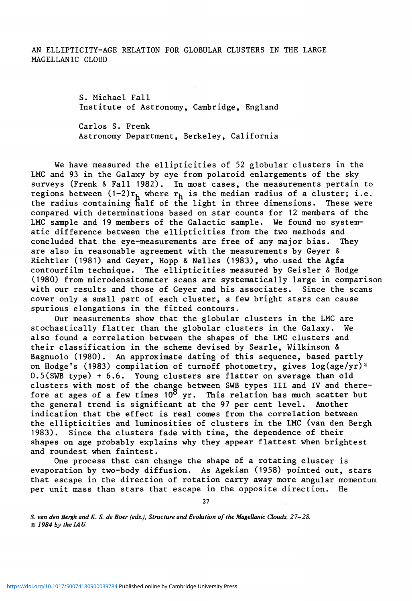**S. Michael Fall Institute of Astronomy, Cambridge, England** 

**Carlos S. Frenk Astronomy Department, Berkeley, California** 

**We have measured the ellipticities of 52 globular clusters in the LMC and 93 in the Galaxy by eye from polaroid enlargements of the sky surveys (Frenk & Fall 1982). In most cases, the measurements pertain to**  regions between  $(1-2)r_h$  where  $r_h$  is the median radius of a cluster; i.e. **the radius containing naif of the light in three dimensions. These were compared with determinations based on star counts for 12 members of the LMC sample and 19 members of the Galactic sample. We found no systematic difference between the ellipticities from the two methods and concluded that the eye-measurements are free of any major bias. They are also in reasonable agreement with the measurements by Geyer & Richtler (1981) and Geyer, Hopp & Nelles (1983), who.used the Agfa contourfilm technique. The ellipticities measured by Geisler & Hodge (1980) from microdensitometer scans are systematically large in comparison with our results and those of Geyer and his associates. Since the scans cover only a small part of each cluster, a few bright stars can cause spurious elongations in the fitted contours.** 

**Our measurements show that the globular clusters in the LMC are stochastically flatter than the globular clusters in the Galaxy. We also found a correlation between the shapes of the LMC clusters and their classification in the scheme devised by Searle, Wilkinson & Bagnuolo (1980). An approximate dating of this sequence, based partly on Hodge's (1983) compilation of turnoff photometry, gives log(age/yr)~ 0.5(SWB type) + 6.6. Young clusters are flatter on average than old clusters with most of the change between SWB types III and IV and therefore at ages of a few times 10° yr. This relation has much scatter but the general trend is significant at the 97 per cent level. Another indication that the effect is real comes from the correlation between the ellipticities and luminosities of clusters in the LMC (van den Bergh 1983). Since the clusters fade with time, the dependence of their shapes on age probably explains why they appear flattest when brightest and roundest when faintest.** 

**One process that can change the shape of a rotating cluster is evaporation by two-body diffusion. As Agekian (1958) pointed out, stars that escape in the direction of rotation carry away more angular momentum per unit mass than stars that escape in the opposite direction. He** 

**27** 

*S. van den Bergh and K. S. de Boer (eds.), Structure and Evolution of the Magellanic Clouds, 27-28. © 1984 by the IAU.*